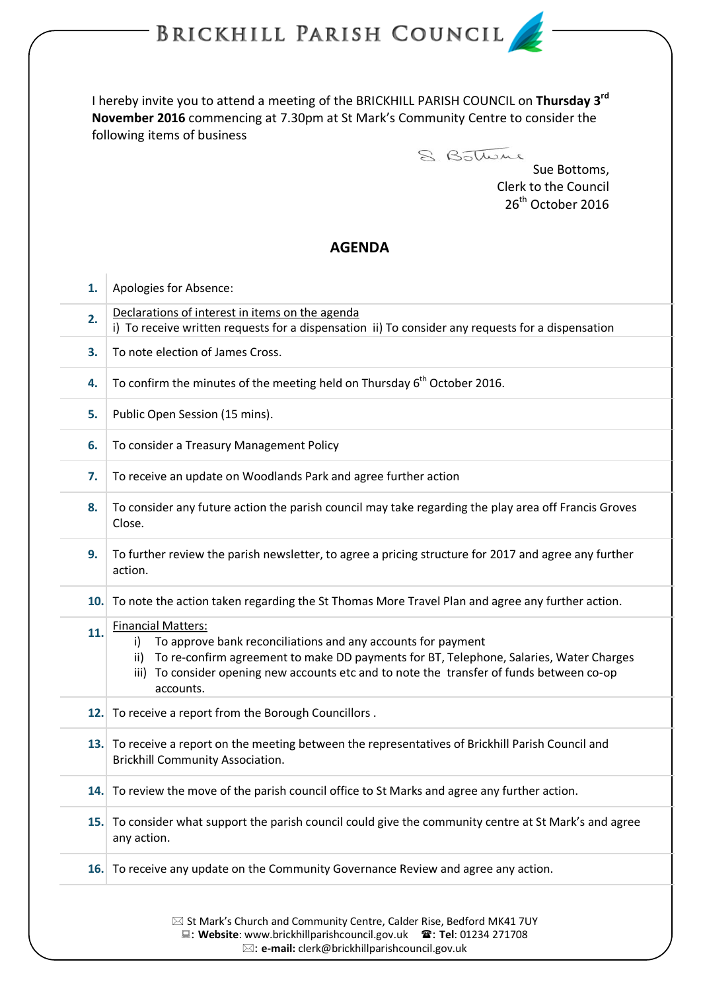## BRICKHILL PARISH COUNCIL

I hereby invite you to attend a meeting of the BRICKHILL PARISH COUNCIL on **Thursday 3 rd November 2016** commencing at 7.30pm at St Mark's Community Centre to consider the following items of business

S. Bottome

 Sue Bottoms, Clerk to the Council 26<sup>th</sup> October 2016

## **AGENDA**

| 1.  | Apologies for Absence:                                                                                                                                                                                                                                                                                     |
|-----|------------------------------------------------------------------------------------------------------------------------------------------------------------------------------------------------------------------------------------------------------------------------------------------------------------|
| 2.  | Declarations of interest in items on the agenda<br>i) To receive written requests for a dispensation ii) To consider any requests for a dispensation                                                                                                                                                       |
| 3.  | To note election of James Cross.                                                                                                                                                                                                                                                                           |
| 4.  | To confirm the minutes of the meeting held on Thursday $6th$ October 2016.                                                                                                                                                                                                                                 |
| 5.  | Public Open Session (15 mins).                                                                                                                                                                                                                                                                             |
| 6.  | To consider a Treasury Management Policy                                                                                                                                                                                                                                                                   |
| 7.  | To receive an update on Woodlands Park and agree further action                                                                                                                                                                                                                                            |
| 8.  | To consider any future action the parish council may take regarding the play area off Francis Groves<br>Close.                                                                                                                                                                                             |
| 9.  | To further review the parish newsletter, to agree a pricing structure for 2017 and agree any further<br>action.                                                                                                                                                                                            |
| 10. | To note the action taken regarding the St Thomas More Travel Plan and agree any further action.                                                                                                                                                                                                            |
| 11. | <b>Financial Matters:</b><br>i) To approve bank reconciliations and any accounts for payment<br>To re-confirm agreement to make DD payments for BT, Telephone, Salaries, Water Charges<br>ii)<br>To consider opening new accounts etc and to note the transfer of funds between co-op<br>iii)<br>accounts. |
|     | 12. To receive a report from the Borough Councillors.                                                                                                                                                                                                                                                      |
|     | 13. To receive a report on the meeting between the representatives of Brickhill Parish Council and<br><b>Brickhill Community Association.</b>                                                                                                                                                              |
|     | 14. To review the move of the parish council office to St Marks and agree any further action.                                                                                                                                                                                                              |
|     | 15. To consider what support the parish council could give the community centre at St Mark's and agree<br>any action.                                                                                                                                                                                      |
| 16. | To receive any update on the Community Governance Review and agree any action.                                                                                                                                                                                                                             |
|     | $\boxtimes$ St Mark's Church and Community Centre, Calder Rise, Bedford MK41 7UY                                                                                                                                                                                                                           |

: **Website**[: www.brickhillparishcouncil.gov.uk](http://www.brickhillparishcouncil.gov.uk/) : **Tel**: 01234 271708

: **e-mail:** [clerk@brickhillparishcouncil.gov.uk](mailto:clerk@brickhillparishcouncil.gov.uk)